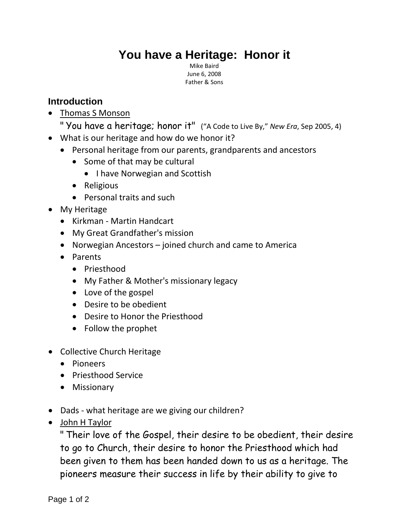## **You have a Heritage: Honor it**

Mike Baird June 6, 2008 Father & Sons

## **Introduction**

- Thomas S Monson
	- " You have a heritage; honor it" ("A Code to Live By," *New Era*, Sep 2005, 4)
- What is our heritage and how do we honor it?
	- Personal heritage from our parents, grandparents and ancestors
		- Some of that may be cultural
			- I have Norwegian and Scottish
		- Religious
		- Personal traits and such
- My Heritage
	- Kirkman Martin Handcart
	- My Great Grandfather's mission
	- Norwegian Ancestors joined church and came to America
	- Parents
		- Priesthood
		- My Father & Mother's missionary legacy
		- Love of the gospel
		- Desire to be obedient
		- Desire to Honor the Priesthood
		- Follow the prophet
- Collective Church Heritage
	- Pioneers
	- Priesthood Service
	- Missionary
- Dads what heritage are we giving our children?
- John H Taylor

" Their love of the Gospel, their desire to be obedient, their desire to go to Church, their desire to honor the Priesthood which had been given to them has been handed down to us as a heritage. The pioneers measure their success in life by their ability to give to